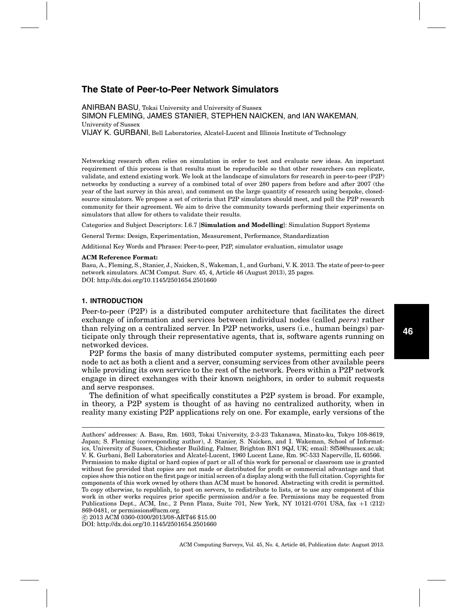ANIRBAN BASU, Tokai University and University of Sussex SIMON FLEMING, JAMES STANIER, STEPHEN NAICKEN, and IAN WAKEMAN, University of Sussex VIJAY K. GURBANI, Bell Laboratories, Alcatel-Lucent and Illinois Institute of Technology

Networking research often relies on simulation in order to test and evaluate new ideas. An important requirement of this process is that results must be reproducible so that other researchers can replicate, validate, and extend existing work. We look at the landscape of simulators for research in peer-to-peer (P2P) networks by conducting a survey of a combined total of over 280 papers from before and after 2007 (the year of the last survey in this area), and comment on the large quantity of research using bespoke, closedsource simulators. We propose a set of criteria that P2P simulators should meet, and poll the P2P research community for their agreement. We aim to drive the community towards performing their experiments on simulators that allow for others to validate their results.

Categories and Subject Descriptors: I.6.7 [**Simulation and Modelling**]: Simulation Support Systems

General Terms: Design, Experimentation, Measurement, Performance, Standardization

Additional Key Words and Phrases: Peer-to-peer, P2P, simulator evaluation, simulator usage

#### **ACM Reference Format:**

Basu, A., Fleming, S., Stanier, J., Naicken, S., Wakeman, I., and Gurbani, V. K. 2013. The state of peer-to-peer network simulators. ACM Comput. Surv. 45, 4, Article 46 (August 2013), 25 pages. DOI: http://dx.doi.org/10.1145/2501654.2501660

## **1. INTRODUCTION**

Peer-to-peer (P2P) is a distributed computer architecture that facilitates the direct exchange of information and services between individual nodes (called *peers*) rather than relying on a centralized server. In P2P networks, users (i.e., human beings) participate only through their representative agents, that is, software agents running on networked devices.

P2P forms the basis of many distributed computer systems, permitting each peer node to act as both a client and a server, consuming services from other available peers while providing its own service to the rest of the network. Peers within a P2P network engage in direct exchanges with their known neighbors, in order to submit requests and serve responses.

The definition of what specifically constitutes a P2P system is broad. For example, in theory, a P2P system is thought of as having no centralized authority, when in reality many existing P2P applications rely on one. For example, early versions of the

-c 2013 ACM 0360-0300/2013/08-ART46 \$15.00

DOI: http://dx.doi.org/10.1145/2501654.2501660

Authors' addresses: A. Basu, Rm. 1603, Tokai University, 2-3-23 Takanawa, Minato-ku, Tokyo 108-8619, Japan; S. Fleming (corresponding author), J. Stanier, S. Naicken, and I. Wakeman, School of Informatics, University of Sussex, Chichester Building, Falmer, Brighton BN1 9QJ, UK; email: Sf58@sussex.ac.uk; V. K. Gurbani, Bell Laboratories and Alcatel-Lucent, 1960 Lucent Lane, Rm. 9C-533 Naperville, IL 60566. Permission to make digital or hard copies of part or all of this work for personal or classroom use is granted without fee provided that copies are not made or distributed for profit or commercial advantage and that copies show this notice on the first page or initial screen of a display along with the full citation. Copyrights for components of this work owned by others than ACM must be honored. Abstracting with credit is permitted. To copy otherwise, to republish, to post on servers, to redistribute to lists, or to use any component of this work in other works requires prior specific permission and/or a fee. Permissions may be requested from Publications Dept., ACM, Inc., 2 Penn Plaza, Suite 701, New York, NY 10121-0701 USA, fax +1 (212) 869-0481, or permissions@acm.org.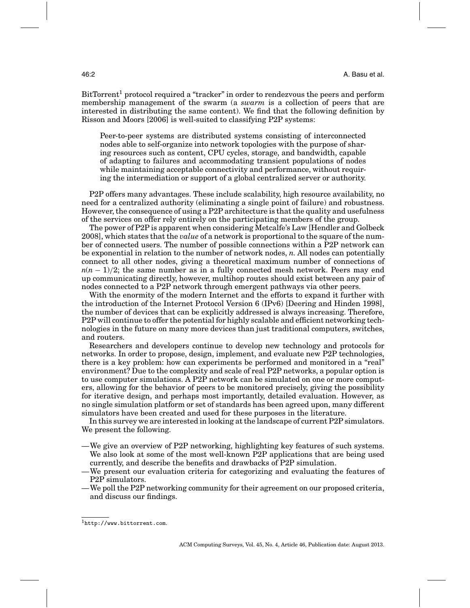BitTorrent<sup>1</sup> protocol required a "tracker" in order to rendezvous the peers and perform membership management of the swarm (a *swarm* is a collection of peers that are interested in distributing the same content). We find that the following definition by Risson and Moors [2006] is well-suited to classifying P2P systems:

Peer-to-peer systems are distributed systems consisting of interconnected nodes able to self-organize into network topologies with the purpose of sharing resources such as content, CPU cycles, storage, and bandwidth, capable of adapting to failures and accommodating transient populations of nodes while maintaining acceptable connectivity and performance, without requiring the intermediation or support of a global centralized server or authority.

P2P offers many advantages. These include scalability, high resource availability, no need for a centralized authority (eliminating a single point of failure) and robustness. However, the consequence of using a P2P architecture is that the quality and usefulness of the services on offer rely entirely on the participating members of the group.

The power of P2P is apparent when considering Metcalfe's Law [Hendler and Golbeck 2008], which states that the *value* of a network is proportional to the square of the number of connected users. The number of possible connections within a P2P network can be exponential in relation to the number of network nodes, *n*. All nodes can potentially connect to all other nodes, giving a theoretical maximum number of connections of  $n(n-1)/2$ ; the same number as in a fully connected mesh network. Peers may end up communicating directly, however, multihop routes should exist between any pair of nodes connected to a P2P network through emergent pathways via other peers.

With the enormity of the modern Internet and the efforts to expand it further with the introduction of the Internet Protocol Version 6 (IPv6) [Deering and Hinden 1998], the number of devices that can be explicitly addressed is always increasing. Therefore, P2P will continue to offer the potential for highly scalable and efficient networking technologies in the future on many more devices than just traditional computers, switches, and routers.

Researchers and developers continue to develop new technology and protocols for networks. In order to propose, design, implement, and evaluate new P2P technologies, there is a key problem: how can experiments be performed and monitored in a "real" environment? Due to the complexity and scale of real P2P networks, a popular option is to use computer simulations. A P2P network can be simulated on one or more computers, allowing for the behavior of peers to be monitored precisely, giving the possibility for iterative design, and perhaps most importantly, detailed evaluation. However, as no single simulation platform or set of standards has been agreed upon, many different simulators have been created and used for these purposes in the literature.

In this survey we are interested in looking at the landscape of current P2P simulators. We present the following.

- —We give an overview of P2P networking, highlighting key features of such systems. We also look at some of the most well-known P2P applications that are being used currently, and describe the benefits and drawbacks of P2P simulation.
- —We present our evaluation criteria for categorizing and evaluating the features of P2P simulators.
- —We poll the P2P networking community for their agreement on our proposed criteria, and discuss our findings.

<sup>1</sup>http://www.bittorrent.com.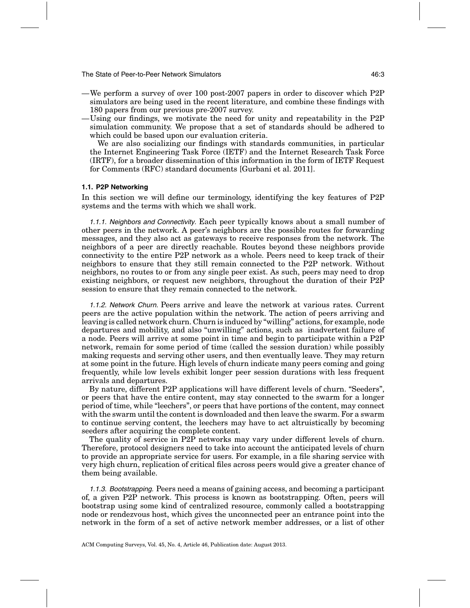- —We perform a survey of over 100 post-2007 papers in order to discover which P2P simulators are being used in the recent literature, and combine these findings with 180 papers from our previous pre-2007 survey.
- —Using our findings, we motivate the need for unity and repeatability in the P2P simulation community. We propose that a set of standards should be adhered to which could be based upon our evaluation criteria.

We are also socializing our findings with standards communities, in particular the Internet Engineering Task Force (IETF) and the Internet Research Task Force (IRTF), for a broader dissemination of this information in the form of IETF Request for Comments (RFC) standard documents [Gurbani et al. 2011].

## **1.1. P2P Networking**

In this section we will define our terminology, identifying the key features of P2P systems and the terms with which we shall work.

1.1.1. Neighbors and Connectivity. Each peer typically knows about a small number of other peers in the network. A peer's neighbors are the possible routes for forwarding messages, and they also act as gateways to receive responses from the network. The neighbors of a peer are directly reachable. Routes beyond these neighbors provide connectivity to the entire P2P network as a whole. Peers need to keep track of their neighbors to ensure that they still remain connected to the P2P network. Without neighbors, no routes to or from any single peer exist. As such, peers may need to drop existing neighbors, or request new neighbors, throughout the duration of their P2P session to ensure that they remain connected to the network.

1.1.2. Network Churn. Peers arrive and leave the network at various rates. Current peers are the active population within the network. The action of peers arriving and leaving is called network churn. Churn is induced by "willing" actions, for example, node departures and mobility, and also "unwilling" actions, such as inadvertent failure of a node. Peers will arrive at some point in time and begin to participate within a P2P network, remain for some period of time (called the session duration) while possibly making requests and serving other users, and then eventually leave. They may return at some point in the future. High levels of churn indicate many peers coming and going frequently, while low levels exhibit longer peer session durations with less frequent arrivals and departures.

By nature, different P2P applications will have different levels of churn. "Seeders", or peers that have the entire content, may stay connected to the swarm for a longer period of time, while "leechers", or peers that have portions of the content, may connect with the swarm until the content is downloaded and then leave the swarm. For a swarm to continue serving content, the leechers may have to act altruistically by becoming seeders after acquiring the complete content.

The quality of service in P2P networks may vary under different levels of churn. Therefore, protocol designers need to take into account the anticipated levels of churn to provide an appropriate service for users. For example, in a file sharing service with very high churn, replication of critical files across peers would give a greater chance of them being available.

1.1.3. Bootstrapping. Peers need a means of gaining access, and becoming a participant of, a given P2P network. This process is known as bootstrapping. Often, peers will bootstrap using some kind of centralized resource, commonly called a bootstrapping node or rendezvous host, which gives the unconnected peer an entrance point into the network in the form of a set of active network member addresses, or a list of other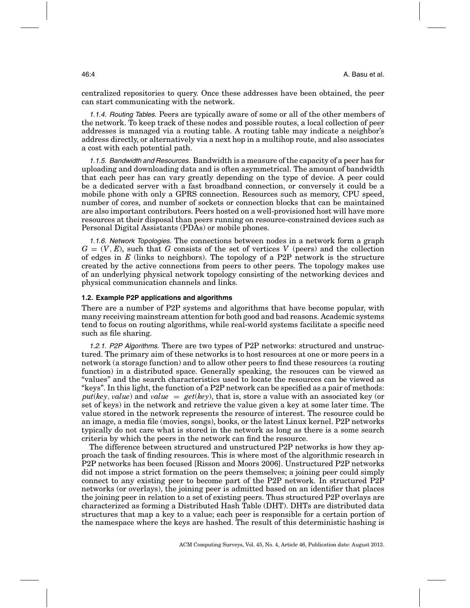centralized repositories to query. Once these addresses have been obtained, the peer can start communicating with the network.

1.1.4. Routing Tables. Peers are typically aware of some or all of the other members of the network. To keep track of these nodes and possible routes, a local collection of peer addresses is managed via a routing table. A routing table may indicate a neighbor's address directly, or alternatively via a next hop in a multihop route, and also associates a cost with each potential path.

1.1.5. Bandwidth and Resources. Bandwidth is a measure of the capacity of a peer has for uploading and downloading data and is often asymmetrical. The amount of bandwidth that each peer has can vary greatly depending on the type of device. A peer could be a dedicated server with a fast broadband connection, or conversely it could be a mobile phone with only a GPRS connection. Resources such as memory, CPU speed, number of cores, and number of sockets or connection blocks that can be maintained are also important contributors. Peers hosted on a well-provisioned host will have more resources at their disposal than peers running on resource-constrained devices such as Personal Digital Assistants (PDAs) or mobile phones.

1.1.6. Network Topologies. The connections between nodes in a network form a graph  $G = (V, E)$ , such that *G* consists of the set of vertices *V* (peers) and the collection of edges in *E* (links to neighbors). The topology of a P2P network is the structure created by the active connections from peers to other peers. The topology makes use of an underlying physical network topology consisting of the networking devices and physical communication channels and links.

#### **1.2. Example P2P applications and algorithms**

There are a number of P2P systems and algorithms that have become popular, with many receiving mainstream attention for both good and bad reasons. Academic systems tend to focus on routing algorithms, while real-world systems facilitate a specific need such as file sharing.

1.2.1. P2P Algorithms. There are two types of P2P networks: structured and unstructured. The primary aim of these networks is to host resources at one or more peers in a network (a storage function) and to allow other peers to find these resources (a routing function) in a distributed space. Generally speaking, the resouces can be viewed as "values" and the search characteristics used to locate the resources can be viewed as "keys". In this light, the function of a P2P network can be specified as a pair of methods: *put*(*key*, v*alue*) and v*alue* = *get*(*key*), that is, store a value with an associated key (or set of keys) in the network and retrieve the value given a key at some later time. The value stored in the network represents the resource of interest. The resource could be an image, a media file (movies, songs), books, or the latest Linux kernel. P2P networks typically do not care what is stored in the network as long as there is a some search criteria by which the peers in the network can find the resource.

The difference between structured and unstructured P2P networks is how they approach the task of finding resources. This is where most of the algorithmic research in P2P networks has been focused [Risson and Moors 2006]. Unstructured P2P networks did not impose a strict formation on the peers themselves; a joining peer could simply connect to any existing peer to become part of the P2P network. In structured P2P networks (or overlays), the joining peer is admitted based on an identifier that places the joining peer in relation to a set of existing peers. Thus structured P2P overlays are characterized as forming a Distributed Hash Table (DHT). DHTs are distributed data structures that map a key to a value; each peer is responsible for a certain portion of the namespace where the keys are hashed. The result of this deterministic hashing is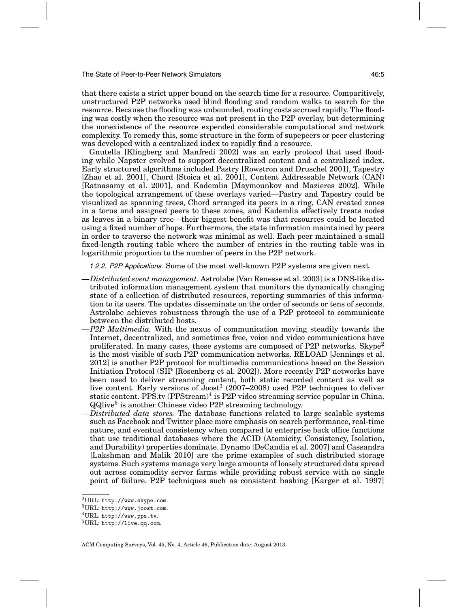that there exists a strict upper bound on the search time for a resource. Comparitively, unstructured P2P networks used blind flooding and random walks to search for the resource. Because the flooding was unbounded, routing costs accrued rapidly. The flooding was costly when the resource was not present in the P2P overlay, but determining the nonexistence of the resource expended considerable computational and network complexity. To remedy this, some structure in the form of supepeers or peer clustering was developed with a centralized index to rapidly find a resource.

Gnutella [Klingberg and Manfredi 2002] was an early protocol that used flooding while Napster evolved to support decentralized content and a centralized index. Early structured algorithms included Pastry [Rowstron and Druschel 2001], Tapestry [Zhao et al. 2001], Chord [Stoica et al. 2001], Content Addressable Network (CAN) [Ratnasamy et al. 2001], and Kademlia [Maymounkov and Mazieres 2002]. While the topological arrangement of these overlays varied—Pastry and Tapestry could be visualized as spanning trees, Chord arranged its peers in a ring, CAN created zones in a torus and assigned peers to these zones, and Kademlia effectively treats nodes as leaves in a binary tree—their biggest benefit was that resources could be located using a fixed number of hops. Furthermore, the state information maintained by peers in order to traverse the network was minimal as well. Each peer maintained a small fixed-length routing table where the number of entries in the routing table was in logarithmic proportion to the number of peers in the P2P network.

1.2.2. P2P Applications. Some of the most well-known P2P systems are given next.

- —*Distributed event management.* Astrolabe [Van Renesse et al. 2003] is a DNS-like distributed information management system that monitors the dynamically changing state of a collection of distributed resources, reporting summaries of this information to its users. The updates disseminate on the order of seconds or tens of seconds. Astrolabe achieves robustness through the use of a P2P protocol to communicate between the distributed hosts.
- —*P2P Multimedia.* With the nexus of communication moving steadily towards the Internet, decentralized, and sometimes free, voice and video communications have proliferated. In many cases, these systems are composed of P2P networks. Skype<sup>2</sup> is the most visible of such P2P communication networks. RELOAD [Jennings et al. 2012] is another P2P protocol for multimedia communications based on the Session Initiation Protocol (SIP [Rosenberg et al. 2002]). More recently P2P networks have been used to deliver streaming content, both static recorded content as well as live content. Early versions of Joost<sup>3</sup> (2007–2008) used P2P techniques to deliver static content. PPS.tv (PPStream)<sup>4</sup> is P2P video streaming service popular in China.  $\omega$ Qlive<sup>5</sup> is another Chinese video P2P streaming technology.
- —*Distributed data stores.* The database functions related to large scalable systems such as Facebook and Twitter place more emphasis on search performance, real-time nature, and eventual consistency when compared to enterprise back office functions that use traditional databases where the ACID (Atomicity, Consistency, Isolation, and Durability) properties dominate. Dynamo [DeCandia et al. 2007] and Cassandra [Lakshman and Malik 2010] are the prime examples of such distributed storage systems. Such systems manage very large amounts of loosely structured data spread out across commodity server farms while providing robust service with no single point of failure. P2P techniques such as consistent hashing [Karger et al. 1997]

 $^{2}URL: http://www.skype.com.$ 

<sup>3</sup>URL: http://www.joost.com.

 ${}^{4}$ URL: http://www.pps.tv.

 ${}^{5}$ URL: http://live.qq.com.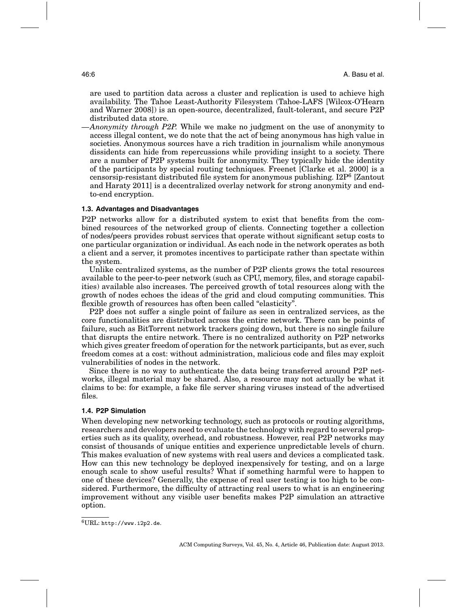are used to partition data across a cluster and replication is used to achieve high availability. The Tahoe Least-Authority Filesystem (Tahoe-LAFS [Wilcox-O'Hearn and Warner 2008]) is an open-source, decentralized, fault-tolerant, and secure P2P distributed data store.

—*Anonymity through P2P.* While we make no judgment on the use of anonymity to access illegal content, we do note that the act of being anonymous has high value in societies. Anonymous sources have a rich tradition in journalism while anonymous dissidents can hide from repercussions while providing insight to a society. There are a number of P2P systems built for anonymity. They typically hide the identity of the participants by special routing techniques. Freenet [Clarke et al. 2000] is a censorsip-resistant distributed file system for anonymous publishing.  $I2P<sup>6</sup>$  [Zantout] and Haraty 2011] is a decentralized overlay network for strong anonymity and endto-end encryption.

# **1.3. Advantages and Disadvantages**

P2P networks allow for a distributed system to exist that benefits from the combined resources of the networked group of clients. Connecting together a collection of nodes/peers provides robust services that operate without significant setup costs to one particular organization or individual. As each node in the network operates as both a client and a server, it promotes incentives to participate rather than spectate within the system.

Unlike centralized systems, as the number of P2P clients grows the total resources available to the peer-to-peer network (such as CPU, memory, files, and storage capabilities) available also increases. The perceived growth of total resources along with the growth of nodes echoes the ideas of the grid and cloud computing communities. This flexible growth of resources has often been called "elasticity".

P2P does not suffer a single point of failure as seen in centralized services, as the core functionalities are distributed across the entire network. There can be points of failure, such as BitTorrent network trackers going down, but there is no single failure that disrupts the entire network. There is no centralized authority on P2P networks which gives greater freedom of operation for the network participants, but as ever, such freedom comes at a cost: without administration, malicious code and files may exploit vulnerabilities of nodes in the network.

Since there is no way to authenticate the data being transferred around P2P networks, illegal material may be shared. Also, a resource may not actually be what it claims to be: for example, a fake file server sharing viruses instead of the advertised files.

## **1.4. P2P Simulation**

When developing new networking technology, such as protocols or routing algorithms, researchers and developers need to evaluate the technology with regard to several properties such as its quality, overhead, and robustness. However, real P2P networks may consist of thousands of unique entities and experience unpredictable levels of churn. This makes evaluation of new systems with real users and devices a complicated task. How can this new technology be deployed inexpensively for testing, and on a large enough scale to show useful results? What if something harmful were to happen to one of these devices? Generally, the expense of real user testing is too high to be considered. Furthermore, the difficulty of attracting real users to what is an engineering improvement without any visible user benefits makes P2P simulation an attractive option.

 ${}^{6}$ URL: http://www.i2p2.de.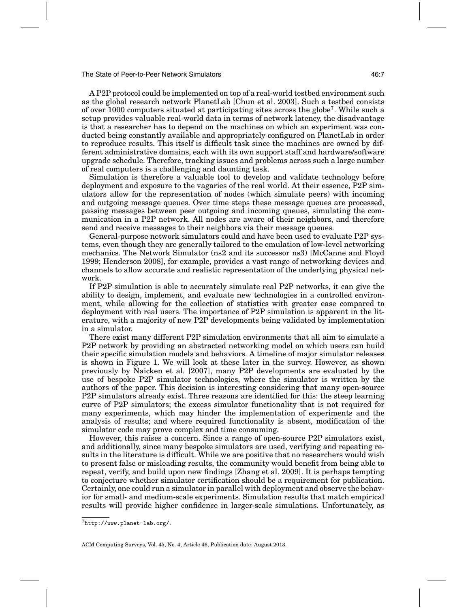A P2P protocol could be implemented on top of a real-world testbed environment such as the global research network PlanetLab [Chun et al. 2003]. Such a testbed consists of over 1000 computers situated at participating sites across the globe<sup>7</sup>. While such a setup provides valuable real-world data in terms of network latency, the disadvantage is that a researcher has to depend on the machines on which an experiment was conducted being constantly available and appropriately configured on PlanetLab in order to reproduce results. This itself is difficult task since the machines are owned by different administrative domains, each with its own support staff and hardware/software upgrade schedule. Therefore, tracking issues and problems across such a large number of real computers is a challenging and daunting task.

Simulation is therefore a valuable tool to develop and validate technology before deployment and exposure to the vagaries of the real world. At their essence, P2P simulators allow for the representation of nodes (which simulate peers) with incoming and outgoing message queues. Over time steps these message queues are processed, passing messages between peer outgoing and incoming queues, simulating the communication in a P2P network. All nodes are aware of their neighbors, and therefore send and receive messages to their neighbors via their message queues.

General-purpose network simulators could and have been used to evaluate P2P systems, even though they are generally tailored to the emulation of low-level networking mechanics. The Network Simulator (ns2 and its successor ns3) [McCanne and Floyd 1999; Henderson 2008], for example, provides a vast range of networking devices and channels to allow accurate and realistic representation of the underlying physical network.

If P2P simulation is able to accurately simulate real P2P networks, it can give the ability to design, implement, and evaluate new technologies in a controlled environment, while allowing for the collection of statistics with greater ease compared to deployment with real users. The importance of P2P simulation is apparent in the literature, with a majority of new P2P developments being validated by implementation in a simulator.

There exist many different P2P simulation environments that all aim to simulate a P2P network by providing an abstracted networking model on which users can build their specific simulation models and behaviors. A timeline of major simulator releases is shown in Figure 1. We will look at these later in the survey. However, as shown previously by Naicken et al. [2007], many P2P developments are evaluated by the use of bespoke P2P simulator technologies, where the simulator is written by the authors of the paper. This decision is interesting considering that many open-source P2P simulators already exist. Three reasons are identified for this: the steep learning curve of P2P simulators; the excess simulator functionality that is not required for many experiments, which may hinder the implementation of experiments and the analysis of results; and where required functionality is absent, modification of the simulator code may prove complex and time consuming.

However, this raises a concern. Since a range of open-source P2P simulators exist, and additionally, since many bespoke simulators are used, verifying and repeating results in the literature is difficult. While we are positive that no researchers would wish to present false or misleading results, the community would benefit from being able to repeat, verify, and build upon new findings [Zhang et al. 2009]. It is perhaps tempting to conjecture whether simulator certification should be a requirement for publication. Certainly, one could run a simulator in parallel with deployment and observe the behavior for small- and medium-scale experiments. Simulation results that match empirical results will provide higher confidence in larger-scale simulations. Unfortunately, as

 $7$ http://www.planet-lab.org/.

ACM Computing Surveys, Vol. 45, No. 4, Article 46, Publication date: August 2013.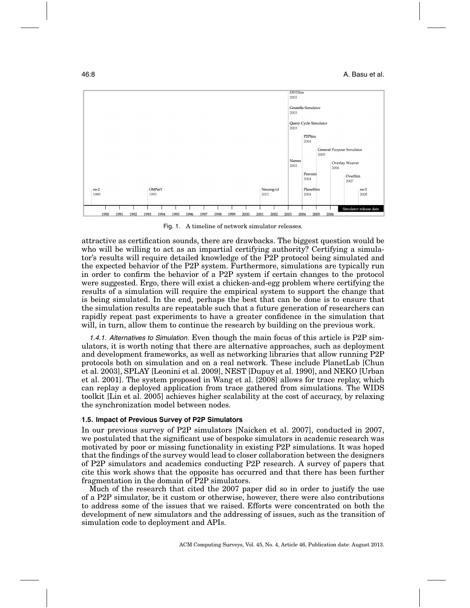

Fig. 1. A timeline of network simulator releases.

attractive as certification sounds, there are drawbacks. The biggest question would be who will be willing to act as an impartial certifying authority? Certifying a simulator's results will require detailed knowledge of the P2P protocol being simulated and the expected behavior of the P2P system. Furthermore, simulations are typically run in order to confirm the behavior of a P2P system if certain changes to the protocol were suggested. Ergo, there will exist a chicken-and-egg problem where certifying the results of a simulation will require the empirical system to support the change that is being simulated. In the end, perhaps the best that can be done is to ensure that the simulation results are repeatable such that a future generation of researchers can rapidly repeat past experiments to have a greater confidence in the simulation that will, in turn, allow them to continue the research by building on the previous work.

1.4.1. Alternatives to Simulation. Even though the main focus of this article is P2P simulators, it is worth noting that there are alternative approaches, such as deployment and development frameworks, as well as networking libraries that allow running P2P protocols both on simulation and on a real network. These include PlanetLab [Chun et al. 2003], SPLAY [Leonini et al. 2009], NEST [Dupuy et al. 1990], and NEKO [Urban et al. 2001]. The system proposed in Wang et al. [2008] allows for trace replay, which can replay a deployed application from trace gathered from simulations. The WIDS toolkit [Lin et al. 2005] achieves higher scalability at the cost of accuracy, by relaxing the synchronization model between nodes.

#### **1.5. Impact of Previous Survey of P2P Simulators**

In our previous survey of P2P simulators [Naicken et al. 2007], conducted in 2007, we postulated that the significant use of bespoke simulators in academic research was motivated by poor or missing functionality in existing P2P simulations. It was hoped that the findings of the survey would lead to closer collaboration between the designers of P2P simulators and academics conducting P2P research. A survey of papers that cite this work shows that the opposite has occurred and that there has been further fragmentation in the domain of P2P simulators.

Much of the research that cited the 2007 paper did so in order to justify the use of a P2P simulator, be it custom or otherwise, however, there were also contributions to address some of the issues that we raised. Efforts were concentrated on both the development of new simulators and the addressing of issues, such as the transition of simulation code to deployment and APIs.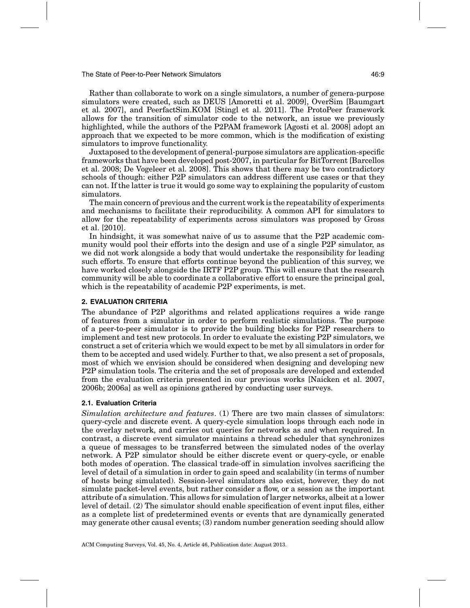Rather than collaborate to work on a single simulators, a number of genera-purpose simulators were created, such as DEUS [Amoretti et al. 2009], OverSim [Baumgart et al. 2007], and PeerfactSim.KOM [Stingl et al. 2011]. The ProtoPeer framework allows for the transition of simulator code to the network, an issue we previously highlighted, while the authors of the P2PAM framework [Agosti et al. 2008] adopt an approach that we expected to be more common, which is the modification of existing simulators to improve functionality.

Juxtaposed to the development of general-purpose simulators are application-specific frameworks that have been developed post-2007, in particular for BitTorrent [Barcellos et al. 2008; De Vogeleer et al. 2008]. This shows that there may be two contradictory schools of though: either P2P simulators can address different use cases or that they can not. If the latter is true it would go some way to explaining the popularity of custom simulators.

The main concern of previous and the current work is the repeatability of experiments and mechanisms to facilitate their reproducibility. A common API for simulators to allow for the repeatability of experiments across simulators was proposed by Gross et al. [2010].

In hindsight, it was somewhat naive of us to assume that the P2P academic community would pool their efforts into the design and use of a single P2P simulator, as we did not work alongside a body that would undertake the responsibility for leading such efforts. To ensure that efforts continue beyond the publication of this survey, we have worked closely alongside the IRTF P2P group. This will ensure that the research community will be able to coordinate a collaborative effort to ensure the principal goal, which is the repeatability of academic P2P experiments, is met.

## **2. EVALUATION CRITERIA**

The abundance of P2P algorithms and related applications requires a wide range of features from a simulator in order to perform realistic simulations. The purpose of a peer-to-peer simulator is to provide the building blocks for P2P researchers to implement and test new protocols. In order to evaluate the existing P2P simulators, we construct a set of criteria which we would expect to be met by all simulators in order for them to be accepted and used widely. Further to that, we also present a set of proposals, most of which we envision should be considered when designing and developing new P2P simulation tools. The criteria and the set of proposals are developed and extended from the evaluation criteria presented in our previous works [Naicken et al. 2007, 2006b; 2006a] as well as opinions gathered by conducting user surveys.

## **2.1. Evaluation Criteria**

*Simulation architecture and features*. (1) There are two main classes of simulators: query-cycle and discrete event. A query-cycle simulation loops through each node in the overlay network, and carries out queries for networks as and when required. In contrast, a discrete event simulator maintains a thread scheduler that synchronizes a queue of messages to be transferred between the simulated nodes of the overlay network. A P2P simulator should be either discrete event or query-cycle, or enable both modes of operation. The classical trade-off in simulation involves sacrificing the level of detail of a simulation in order to gain speed and scalability (in terms of number of hosts being simulated). Session-level simulators also exist, however, they do not simulate packet-level events, but rather consider a flow, or a session as the important attribute of a simulation. This allows for simulation of larger networks, albeit at a lower level of detail. (2) The simulator should enable specification of event input files, either as a complete list of predetermined events or events that are dynamically generated may generate other causal events; (3) random number generation seeding should allow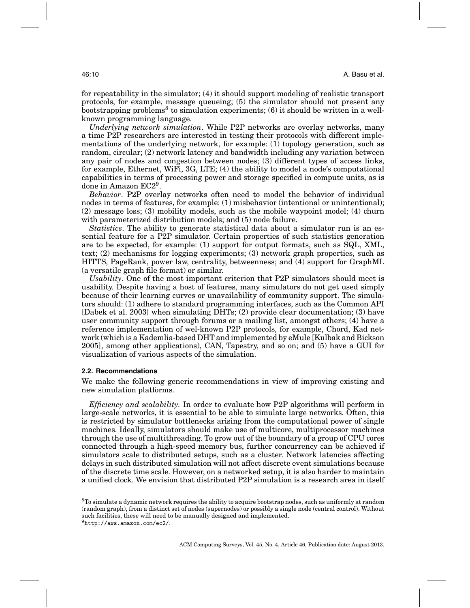for repeatability in the simulator; (4) it should support modeling of realistic transport protocols, for example, message queueing; (5) the simulator should not present any bootstrapping problems<sup>8</sup> to simulation experiments;  $(6)$  it should be written in a wellknown programming language.

*Underlying network simulation*. While P2P networks are overlay networks, many a time P2P researchers are interested in testing their protocols with different implementations of the underlying network, for example: (1) topology generation, such as random, circular; (2) network latency and bandwidth including any variation between any pair of nodes and congestion between nodes; (3) different types of access links, for example, Ethernet, WiFi, 3G, LTE; (4) the ability to model a node's computational capabilities in terms of processing power and storage specified in compute units, as is done in Amazon EC29.

*Behavior*. P2P overlay networks often need to model the behavior of individual nodes in terms of features, for example: (1) misbehavior (intentional or unintentional); (2) message loss; (3) mobility models, such as the mobile waypoint model; (4) churn with parameterized distribution models; and (5) node failure.

*Statistics*. The ability to generate statistical data about a simulator run is an essential feature for a P2P simulator. Certain properties of such statistics generation are to be expected, for example: (1) support for output formats, such as SQL, XML, text; (2) mechanisms for logging experiments; (3) network graph properties, such as HITTS, PageRank, power law, centrality, betweenness; and (4) support for GraphML (a versatile graph file format) or similar.

*Usability*. One of the most important criterion that P2P simulators should meet is usability. Despite having a host of features, many simulators do not get used simply because of their learning curves or unavailability of community support. The simulators should: (1) adhere to standard programming interfaces, such as the Common API [Dabek et al. 2003] when simulating DHTs; (2) provide clear documentation; (3) have user community support through forums or a mailing list, amongst others; (4) have a reference implementation of wel-known P2P protocols, for example, Chord, Kad network (which is a Kademlia-based DHT and implemented by eMule [Kulbak and Bickson 2005], among other applications), CAN, Tapestry, and so on; and (5) have a GUI for visualization of various aspects of the simulation.

## **2.2. Recommendations**

We make the following generic recommendations in view of improving existing and new simulation platforms.

*Efficiency and scalability.* In order to evaluate how P2P algorithms will perform in large-scale networks, it is essential to be able to simulate large networks. Often, this is restricted by simulator bottlenecks arising from the computational power of single machines. Ideally, simulators should make use of multicore, multiprocessor machines through the use of multithreading. To grow out of the boundary of a group of CPU cores connected through a high-speed memory bus, further concurrency can be achieved if simulators scale to distributed setups, such as a cluster. Network latencies affecting delays in such distributed simulation will not affect discrete event simulations because of the discrete time scale. However, on a networked setup, it is also harder to maintain a unified clock. We envision that distributed P2P simulation is a research area in itself

<sup>&</sup>lt;sup>8</sup>To simulate a dynamic network requires the ability to acquire bootstrap nodes, such as uniformly at random (random graph), from a distinct set of nodes (supernodes) or possibly a single node (central control). Without such facilities, these will need to be manually designed and implemented.

 $^{9}$ http://aws.amazon.com/ec2/.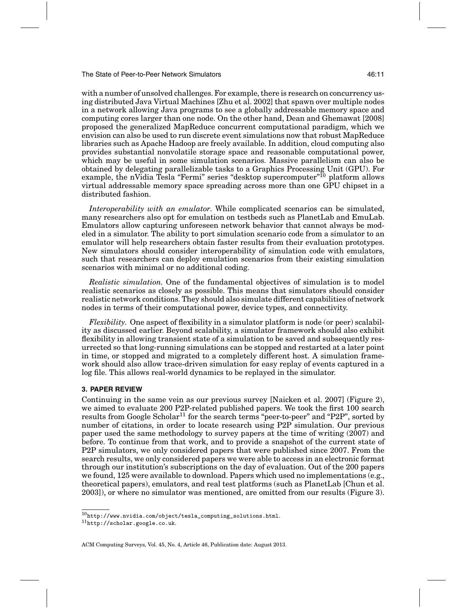with a number of unsolved challenges. For example, there is research on concurrency using distributed Java Virtual Machines [Zhu et al. 2002] that spawn over multiple nodes in a network allowing Java programs to see a globally addressable memory space and computing cores larger than one node. On the other hand, Dean and Ghemawat [2008] proposed the generalized MapReduce concurrent computational paradigm, which we envision can also be used to run discrete event simulations now that robust MapReduce libraries such as Apache Hadoop are freely available. In addition, cloud computing also provides substantial nonvolatile storage space and reasonable computational power, which may be useful in some simulation scenarios. Massive parallelism can also be obtained by delegating parallelizable tasks to a Graphics Processing Unit (GPU). For example, the nVidia Tesla "Fermi" series "desktop supercomputer"<sup>10</sup> platform allows virtual addressable memory space spreading across more than one GPU chipset in a distributed fashion.

*Interoperability with an emulator.* While complicated scenarios can be simulated, many researchers also opt for emulation on testbeds such as PlanetLab and EmuLab. Emulators allow capturing unforeseen network behavior that cannot always be modeled in a simulator. The ability to port simulation scenario code from a simulator to an emulator will help researchers obtain faster results from their evaluation prototypes. New simulators should consider interoperability of simulation code with emulators, such that researchers can deploy emulation scenarios from their existing simulation scenarios with minimal or no additional coding.

*Realistic simulation.* One of the fundamental objectives of simulation is to model realistic scenarios as closely as possible. This means that simulators should consider realistic network conditions. They should also simulate different capabilities of network nodes in terms of their computational power, device types, and connectivity.

*Flexibility.* One aspect of flexibility in a simulator platform is node (or peer) scalability as discussed earlier. Beyond scalability, a simulator framework should also exhibit flexibility in allowing transient state of a simulation to be saved and subsequently resurrected so that long-running simulations can be stopped and restarted at a later point in time, or stopped and migrated to a completely different host. A simulation framework should also allow trace-driven simulation for easy replay of events captured in a log file. This allows real-world dynamics to be replayed in the simulator.

# **3. PAPER REVIEW**

Continuing in the same vein as our previous survey [Naicken et al. 2007] (Figure 2), we aimed to evaluate 200 P2P-related published papers. We took the first 100 search results from Google Scholar<sup>11</sup> for the search terms "peer-to-peer" and "P2P", sorted by number of citations, in order to locate research using P2P simulation. Our previous paper used the same methodology to survey papers at the time of writing (2007) and before. To continue from that work, and to provide a snapshot of the current state of P2P simulators, we only considered papers that were published since 2007. From the search results, we only considered papers we were able to access in an electronic format through our institution's subscriptions on the day of evaluation. Out of the 200 papers we found, 125 were available to download. Papers which used no implementations (e.g., theoretical papers), emulators, and real test platforms (such as PlanetLab [Chun et al. 2003]), or where no simulator was mentioned, are omitted from our results (Figure 3).

 $^{10}\mathrm{http://www.nvidia.com/object/tesla\_computing\_solutions.html}.$ 

<sup>11</sup>http://scholar.google.co.uk.

ACM Computing Surveys, Vol. 45, No. 4, Article 46, Publication date: August 2013.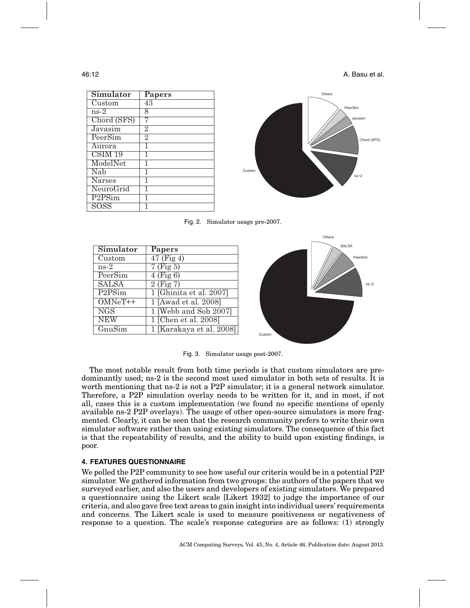| Simulator           | Papers         |
|---------------------|----------------|
| Custom              | 43             |
| $ns-2$              | $\overline{8}$ |
| Chord (SFS)         |                |
| Javasim             | $\overline{2}$ |
| PeerSim             | $\overline{2}$ |
| Aurora              | 1              |
| CSIM19              | 1              |
| ModelNet            | 1              |
| Nab                 | 1              |
| <b>Narses</b>       | 1              |
| NeuroGrid           | 1              |
| P <sub>2</sub> PSim | 1              |
| SOSS                |                |



Fig. 2. Simulator usage pre-2007.

| Simulator           | <b>Papers</b>                        |        |
|---------------------|--------------------------------------|--------|
| Custom              | $47$ (Fig 4)                         |        |
| $ns-2$              | $7$ (Fig 5)                          |        |
| PeerSim             | $4$ (Fig 6)                          |        |
| <b>SALSA</b>        | $2$ (Fig 7)                          |        |
| P <sub>2</sub> PSim | $\overline{1}$ [Ghinita et al. 2007] |        |
| $OMNeT++$           | 1 [Awad et al. 2008]                 |        |
| <b>NGS</b>          | 1 [Webb and Soh 2007]                |        |
| <b>NEW</b>          | 1 [Chen et al. 2008]                 |        |
| GnuSim              | 1 [Karakaya et al. 2008]             | Custom |



Fig. 3. Simulator usage post-2007.

The most notable result from both time periods is that custom simulators are predominantly used; ns-2 is the second most used simulator in both sets of results. It is worth mentioning that ns-2 is not a P2P simulator; it is a general network simulator. Therefore, a P2P simulation overlay needs to be written for it, and in most, if not all, cases this is a custom implementation (we found no specific mentions of openly available ns-2 P2P overlays). The usage of other open-source simulators is more fragmented. Clearly, it can be seen that the research community prefers to write their own simulator software rather than using existing simulators. The consequence of this fact is that the repeatability of results, and the ability to build upon existing findings, is poor.

# **4. FEATURES QUESTIONNAIRE**

We polled the P2P community to see how useful our criteria would be in a potential P2P simulator. We gathered information from two groups: the authors of the papers that we surveyed earlier, and also the users and developers of existing simulators. We prepared a questionnaire using the Likert scale [Likert 1932] to judge the importance of our criteria, and also gave free text areas to gain insight into individual users' requirements and concerns. The Likert scale is used to measure positiveness or negativeness of response to a question. The scale's response categories are as follows: (1) strongly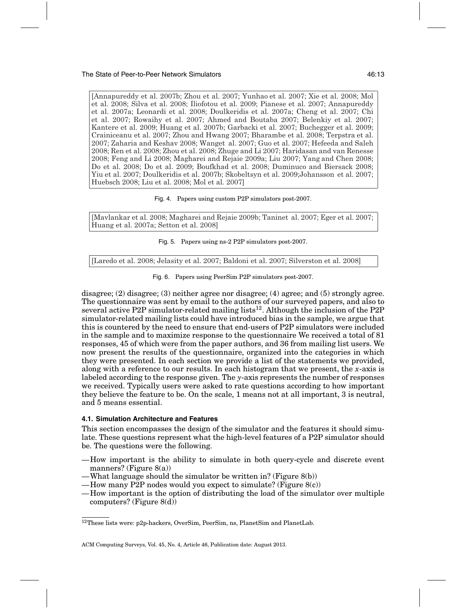Huebsch 2008; Liu et al. 2008; Mol et al. 2007]

[Annapureddy et al. 2007b; Zhou et al. 2007; Yunhao et al. 2007; Xie et al. 2008; Mol et al. 2008; Silva et al. 2008; Iliofotou et al. 2009; Pianese et al. 2007; Annapureddy et al. 2007a; Leonardi et al. 2008; Doulkeridis et al. 2007a; Cheng et al. 2007; Chi et al. 2007; Rowaihy et al. 2007; Ahmed and Boutaba 2007; Belenkiy et al. 2007; Kantere et al. 2009; Huang et al. 2007b; Garbacki et al. 2007; Buchegger et al. 2009; Crainiceanu et al. 2007; Zhou and Hwang 2007; Bharambe et al. 2008; Terpstra et al. 2007; Zaharia and Keshav 2008; Wanget al. 2007; Guo et al. 2007; Hefeeda and Saleh 2008; Ren et al. 2008; Zhou et al. 2008; Zhuge and Li 2007; Haridasan and van Renesse 2008; Feng and Li 2008; Magharei and Rejaie 2009a; Liu 2007; Yang and Chen 2008; Do et al. 2008; Do et al. 2009; Boufkhad et al. 2008; Duminuco and Biersack 2008;

Fig. 4. Papers using custom P2P simulators post-2007.

Yiu et al. 2007; Doulkeridis et al. 2007b; Skobeltsyn et al. 2009;Johansson et al. 2007;

[Mavlankar et al. 2008; Magharei and Rejaie 2009b; Taninet al. 2007; Eger et al. 2007; Huang et al. 2007a; Setton et al. 2008]

Fig. 5. Papers using ns-2 P2P simulators post-2007.

[Laredo et al. 2008; Jelasity et al. 2007; Baldoni et al. 2007; Silverston et al. 2008]

Fig. 6. Papers using PeerSim P2P simulators post-2007.

disagree; (2) disagree; (3) neither agree nor disagree; (4) agree; and (5) strongly agree. The questionnaire was sent by email to the authors of our surveyed papers, and also to several active P2P simulator-related mailing lists<sup>12</sup>. Although the inclusion of the P2P simulator-related mailing lists could have introduced bias in the sample, we argue that this is countered by the need to ensure that end-users of P2P simulators were included in the sample and to maximize response to the questionnaire We received a total of 81 responses, 45 of which were from the paper authors, and 36 from mailing list users. We now present the results of the questionnaire, organized into the categories in which they were presented. In each section we provide a list of the statements we provided, along with a reference to our results. In each histogram that we present, the *x*-axis is labeled according to the response given. The *y*-axis represents the number of responses we received. Typically users were asked to rate questions according to how important they believe the feature to be. On the scale, 1 means not at all important, 3 is neutral, and 5 means essential.

# **4.1. Simulation Architecture and Features**

This section encompasses the design of the simulator and the features it should simulate. These questions represent what the high-level features of a P2P simulator should be. The questions were the following.

- —How important is the ability to simulate in both query-cycle and discrete event manners? (Figure  $8(a)$ )
- —What language should the simulator be written in? (Figure 8(b))
- —How many P2P nodes would you expect to simulate? (Figure  $8(c)$ )
- —How important is the option of distributing the load of the simulator over multiple computers? (Figure  $8(d)$ )

 $^{12}$  These lists were: p2p-hackers, OverSim, PeerSim, ns, PlanetSim and PlanetLab.

ACM Computing Surveys, Vol. 45, No. 4, Article 46, Publication date: August 2013.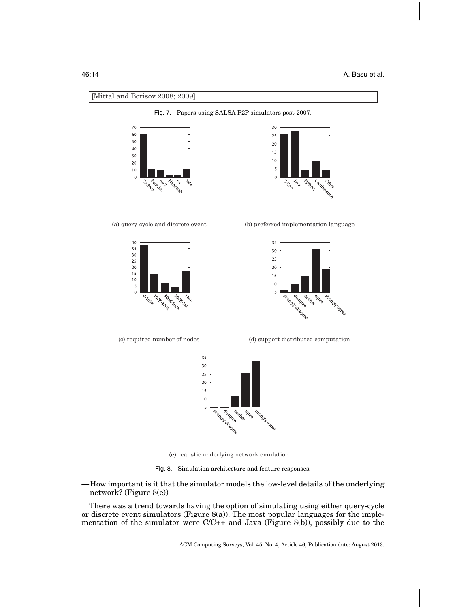### [Mittal and Borisov 2008; 2009]



Fig. 7. Papers using SALSA P2P simulators post-2007.





(a) query-cycle and discrete event (b) preferred implementation language







(e) realistic underlying network emulation

Fig. 8. Simulation architecture and feature responses.

—How important is it that the simulator models the low-level details of the underlying network? (Figure 8(e))

There was a trend towards having the option of simulating using either query-cycle or discrete event simulators (Figure  $8(a)$ ). The most popular languages for the implementation of the simulator were  $C/C++$  and Java (Figure 8(b)), possibly due to the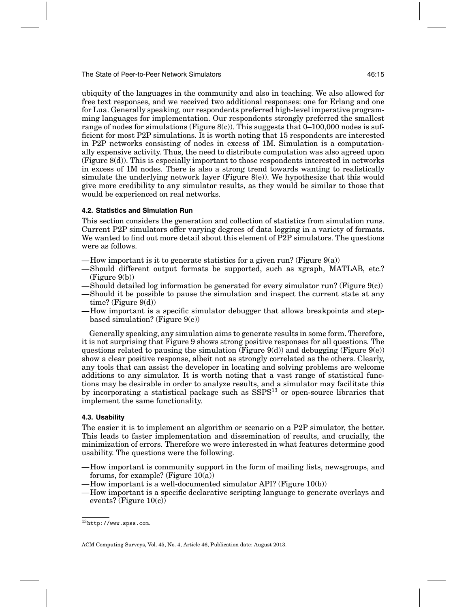ubiquity of the languages in the community and also in teaching. We also allowed for free text responses, and we received two additional responses: one for Erlang and one for Lua. Generally speaking, our respondents preferred high-level imperative programming languages for implementation. Our respondents strongly preferred the smallest range of nodes for simulations (Figure 8(c)). This suggests that  $0-100,000$  nodes is sufficient for most P2P simulations. It is worth noting that 15 respondents are interested in P2P networks consisting of nodes in excess of 1M. Simulation is a computationally expensive activity. Thus, the need to distribute computation was also agreed upon (Figure  $8(d)$ ). This is especially important to those respondents interested in networks in excess of 1M nodes. There is also a strong trend towards wanting to realistically simulate the underlying network layer (Figure 8(e)). We hypothesize that this would give more credibility to any simulator results, as they would be similar to those that would be experienced on real networks.

# **4.2. Statistics and Simulation Run**

This section considers the generation and collection of statistics from simulation runs. Current P2P simulators offer varying degrees of data logging in a variety of formats. We wanted to find out more detail about this element of P2P simulators. The questions were as follows.

- —How important is it to generate statistics for a given run? (Figure  $9(a)$ )
- —Should different output formats be supported, such as xgraph, MATLAB, etc.? (Figure 9(b))
- —Should detailed log information be generated for every simulator run? (Figure 9(c))
- —Should it be possible to pause the simulation and inspect the current state at any time? (Figure  $9(d)$ )
- —How important is a specific simulator debugger that allows breakpoints and stepbased simulation? (Figure  $9(e)$ )

Generally speaking, any simulation aims to generate results in some form. Therefore, it is not surprising that Figure 9 shows strong positive responses for all questions. The questions related to pausing the simulation (Figure 9(d)) and debugging (Figure 9(e)) show a clear positive response, albeit not as strongly correlated as the others. Clearly, any tools that can assist the developer in locating and solving problems are welcome additions to any simulator. It is worth noting that a vast range of statistical functions may be desirable in order to analyze results, and a simulator may facilitate this by incorporating a statistical package such as SSPS<sup>13</sup> or open-source libraries that implement the same functionality.

# **4.3. Usability**

The easier it is to implement an algorithm or scenario on a P2P simulator, the better. This leads to faster implementation and dissemination of results, and crucially, the minimization of errors. Therefore we were interested in what features determine good usability. The questions were the following.

- —How important is community support in the form of mailing lists, newsgroups, and forums, for example? (Figure  $10(a)$ )
- —How important is a well-documented simulator API? (Figure  $10(b)$ )
- —How important is a specific declarative scripting language to generate overlays and events? (Figure 10(c))

<sup>13</sup>http://www.spss.com.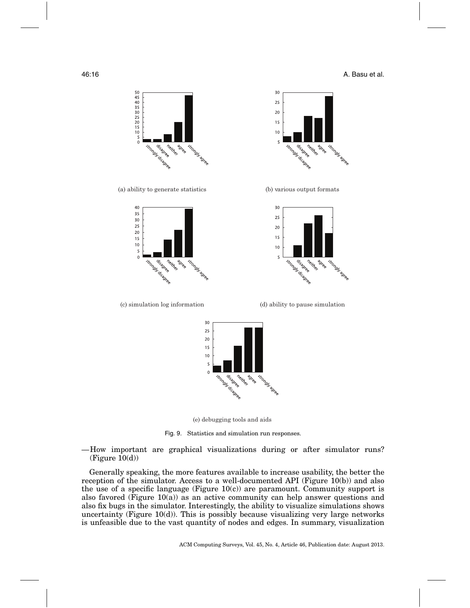

(a) ability to generate statistics (b) various output formats







(c) simulation log information (d) ability to pause simulation





Fig. 9. Statistics and simulation run responses.

—How important are graphical visualizations during or after simulator runs?  $(Figure 10(d))$ 

Generally speaking, the more features available to increase usability, the better the reception of the simulator. Access to a well-documented API (Figure 10(b)) and also the use of a specific language (Figure  $10(c)$ ) are paramount. Community support is also favored (Figure 10(a)) as an active community can help answer questions and also fix bugs in the simulator. Interestingly, the ability to visualize simulations shows uncertainty (Figure 10(d)). This is possibly because visualizing very large networks is unfeasible due to the vast quantity of nodes and edges. In summary, visualization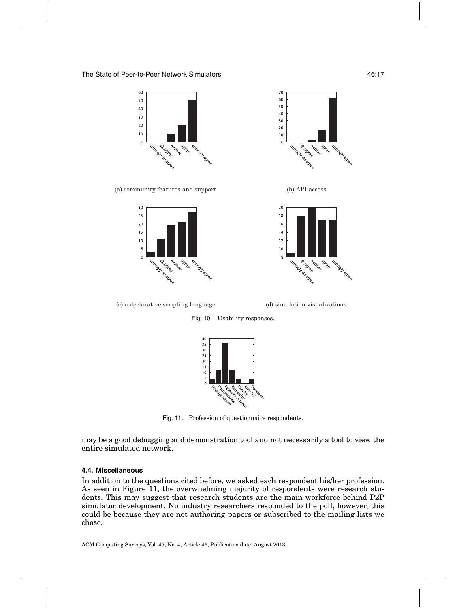

(c) a declarative scripting language (d) simulation visualizations







Fig. 11. Profession of questionnaire respondents.

may be a good debugging and demonstration tool and not necessarily a tool to view the entire simulated network.

## **4.4. Miscellaneous**

In addition to the questions cited before, we asked each respondent his/her profession. As seen in Figure 11, the overwhelming majority of respondents were research students. This may suggest that research students are the main workforce behind P2P simulator development. No industry researchers responded to the poll, however, this could be because they are not authoring papers or subscribed to the mailing lists we chose.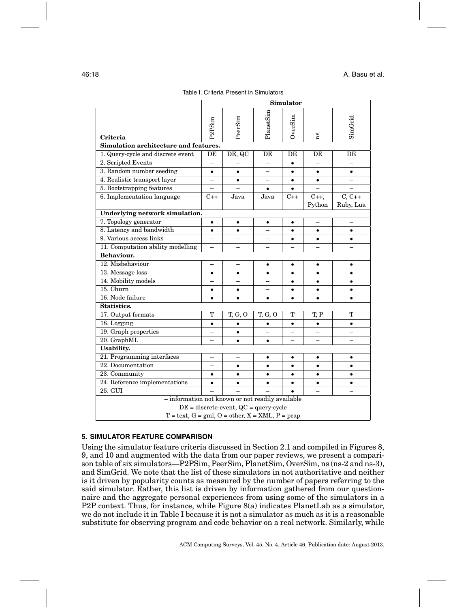|                                                   | Simulator                |                          |           |                          |                          |                       |
|---------------------------------------------------|--------------------------|--------------------------|-----------|--------------------------|--------------------------|-----------------------|
| Criteria                                          | P <sub>2</sub> PSim      | PeerSim                  | PlanetSim | OverSim                  | ns                       | SimGrid               |
| Simulation architecture and features.             |                          |                          |           |                          |                          |                       |
| 1. Query-cycle and discrete event                 | DE                       | DE, QC                   | DE        | DE                       | DE                       | DE                    |
| 2. Scripted Events                                |                          |                          |           | $\bullet$                |                          |                       |
| 3. Random number seeding                          | $\bullet$                | $\bullet$                |           | $\bullet$                | $\bullet$                | $\bullet$             |
| 4. Realistic transport layer                      |                          | $\bullet$                |           | $\bullet$                | $\bullet$                |                       |
| 5. Bootstrapping features                         |                          |                          | $\bullet$ | $\bullet$                |                          |                       |
| 6. Implementation language                        | $C_{++}$                 | Java                     | Java      | $C++$                    | $C_{++}$<br>Python       | $C, C++$<br>Ruby, Lua |
| Underlying network simulation.                    |                          |                          |           |                          |                          |                       |
| 7. Topology generator                             | $\bullet$                | $\bullet$                | $\bullet$ | $\bullet$                | $\overline{\phantom{0}}$ |                       |
| 8. Latency and bandwidth                          | $\bullet$                | $\bullet$                |           | $\bullet$                | $\bullet$                | $\bullet$             |
| 9. Various access links                           | -                        |                          |           | $\bullet$                | $\bullet$                | $\bullet$             |
| 11. Computation ability modelling                 | -                        |                          |           | ▃                        |                          |                       |
| <b>Behaviour.</b>                                 |                          |                          |           |                          |                          |                       |
| 12. Misbehaviour                                  | -                        | $\overline{\phantom{0}}$ | $\bullet$ | $\bullet$                | $\bullet$                | $\bullet$             |
| 13. Message loss                                  | $\bullet$                | ٠                        | ٠         | $\bullet$                | ٠                        | $\bullet$             |
| 14. Mobility models                               |                          |                          |           | $\bullet$                | ٠                        | ٠                     |
| 15. Churn                                         | $\bullet$                | $\bullet$                |           | $\bullet$                | $\bullet$                | $\bullet$             |
| 16. Node failure                                  | $\bullet$                | $\bullet$                | $\bullet$ | $\bullet$                | $\bullet$                | $\bullet$             |
| Statistics.                                       |                          |                          |           |                          |                          |                       |
| 17. Output formats                                | T                        | T, G, O                  | T, G, O   | т                        | T, P                     | T                     |
| 18. Logging                                       | $\bullet$                | $\bullet$                | $\bullet$ | $\bullet$                | $\bullet$                | $\bullet$             |
| 19. Graph properties                              | -                        | $\bullet$                |           |                          |                          |                       |
| 20. GraphML                                       | $\overline{\phantom{0}}$ | $\bullet$                | ٠         | $\overline{\phantom{0}}$ | $\overline{\phantom{0}}$ |                       |
| <b>Usability.</b>                                 |                          |                          |           |                          |                          |                       |
| 21. Programming interfaces                        | $\overline{\phantom{0}}$ | -                        | $\bullet$ | $\bullet$                | $\bullet$                | $\bullet$             |
| 22. Documentation                                 |                          | $\bullet$                | $\bullet$ | $\bullet$                | $\bullet$                | $\bullet$             |
| 23. Community                                     | $\bullet$                | $\bullet$                | $\bullet$ | $\bullet$                | $\bullet$                | $\bullet$             |
| 24. Reference implementations                     | $\bullet$                | $\bullet$                | $\bullet$ | $\bullet$                | $\bullet$                | $\bullet$             |
| 25. GUI                                           |                          |                          |           |                          |                          |                       |
| - information not known or not readily available  |                          |                          |           |                          |                          |                       |
| $DE = discrete-event, QC = query-cycle$           |                          |                          |           |                          |                          |                       |
| $T = text, G = gml, O = other, X = XML, P = pcap$ |                          |                          |           |                          |                          |                       |

|  |  | Table I. Criteria Present in Simulators |
|--|--|-----------------------------------------|
|--|--|-----------------------------------------|

# **5. SIMULATOR FEATURE COMPARISON**

Using the simulator feature criteria discussed in Section 2.1 and compiled in Figures 8, 9, and 10 and augmented with the data from our paper reviews, we present a comparison table of six simulators—P2PSim, PeerSim, PlanetSim, OverSim, ns (ns-2 and ns-3), and SimGrid. We note that the list of these simulators in not authoritative and neither is it driven by popularity counts as measured by the number of papers referring to the said simulator. Rather, this list is driven by information gathered from our questionnaire and the aggregate personal experiences from using some of the simulators in a P2P context. Thus, for instance, while Figure 8(a) indicates PlanetLab as a simulator, we do not include it in Table I because it is not a simulator as much as it is a reasonable substitute for observing program and code behavior on a real network. Similarly, while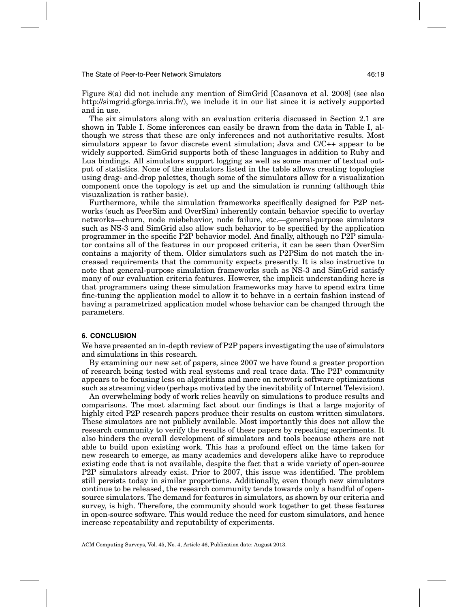Figure 8(a) did not include any mention of SimGrid [Casanova et al. 2008] (see also http://simgrid.gforge.inria.fr/), we include it in our list since it is actively supported and in use.

The six simulators along with an evaluation criteria discussed in Section 2.1 are shown in Table I. Some inferences can easily be drawn from the data in Table I, although we stress that these are only inferences and not authoritative results. Most simulators appear to favor discrete event simulation; Java and C/C++ appear to be widely supported. SimGrid supports both of these languages in addition to Ruby and Lua bindings. All simulators support logging as well as some manner of textual output of statistics. None of the simulators listed in the table allows creating topologies using drag- and-drop palettes, though some of the simulators allow for a visualization component once the topology is set up and the simulation is running (although this visuzalization is rather basic).

Furthermore, while the simulation frameworks specifically designed for P2P networks (such as PeerSim and OverSim) inherently contain behavior specific to overlay networks—churn, node misbehavior, node failure, etc.—general-purpose simulators such as NS-3 and SimGrid also allow such behavior to be specified by the application programmer in the specific P2P behavior model. And finally, although no P2P simulator contains all of the features in our proposed criteria, it can be seen than OverSim contains a majority of them. Older simulators such as P2PSim do not match the increased requirements that the community expects presently. It is also instructive to note that general-purpose simulation frameworks such as NS-3 and SimGrid satisfy many of our evaluation criteria features. However, the implicit understanding here is that programmers using these simulation frameworks may have to spend extra time fine-tuning the application model to allow it to behave in a certain fashion instead of having a parametrized application model whose behavior can be changed through the parameters.

# **6. CONCLUSION**

We have presented an in-depth review of P2P papers investigating the use of simulators and simulations in this research.

By examining our new set of papers, since 2007 we have found a greater proportion of research being tested with real systems and real trace data. The P2P community appears to be focusing less on algorithms and more on network software optimizations such as streaming video (perhaps motivated by the inevitability of Internet Television).

An overwhelming body of work relies heavily on simulations to produce results and comparisons. The most alarming fact about our findings is that a large majority of highly cited P2P research papers produce their results on custom written simulators. These simulators are not publicly available. Most importantly this does not allow the research community to verify the results of these papers by repeating experiments. It also hinders the overall development of simulators and tools because others are not able to build upon existing work. This has a profound effect on the time taken for new research to emerge, as many academics and developers alike have to reproduce existing code that is not available, despite the fact that a wide variety of open-source P2P simulators already exist. Prior to 2007, this issue was identified. The problem still persists today in similar proportions. Additionally, even though new simulators continue to be released, the research community tends towards only a handful of opensource simulators. The demand for features in simulators, as shown by our criteria and survey, is high. Therefore, the community should work together to get these features in open-source software. This would reduce the need for custom simulators, and hence increase repeatability and reputability of experiments.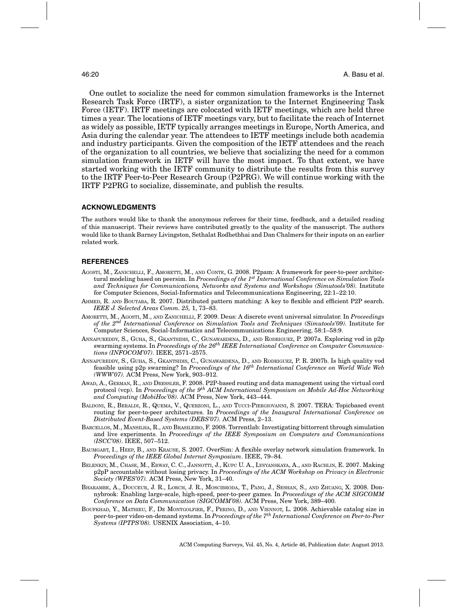One outlet to socialize the need for common simulation frameworks is the Internet Research Task Force (IRTF), a sister organization to the Internet Engineering Task Force (IETF). IRTF meetings are colocated with IETF meetings, which are held three times a year. The locations of IETF meetings vary, but to facilitate the reach of Internet as widely as possible, IETF typically arranges meetings in Europe, North America, and Asia during the calendar year. The attendees to IETF meetings include both academia and industry participants. Given the composition of the IETF attendees and the reach of the organization to all countries, we believe that socializing the need for a common simulation framework in IETF will have the most impact. To that extent, we have started working with the IETF community to distribute the results from this survey to the IRTF Peer-to-Peer Research Group (P2PRG). We will continue working with the IRTF P2PRG to socialize, disseminate, and publish the results.

## **ACKNOWLEDGMENTS**

The authors would like to thank the anonymous referees for their time, feedback, and a detailed reading of this manuscript. Their reviews have contributed greatly to the quality of the manuscript. The authors would like to thank Barney Livingston, Sethalat Rodhetbhai and Dan Chalmers for their inputs on an earlier related work.

## **REFERENCES**

- AGOSTI, M., ZANICHELLI, F., AMORETTI, M., AND CONTE, G. 2008. P2pam: A framework for peer-to-peer architectural modeling based on peersim. In *Proceedings of the 1st International Conference on Simulation Tools and Techniques for Communications, Networks and Systems and Workshops (Simutools'08).* Institute for Computer Sciences, Social-Informatics and Telecommunications Engineering, 22:1–22:10.
- AHMED, R. AND BOUTABA, R. 2007. Distributed pattern matching: A key to flexible and efficient P2P search. *IEEE J. Selected Areas Comm. 25,* 1, 73–83.
- AMORETTI, M., AGOSTI, M., AND ZANICHELLI, F. 2009. Deus: A discrete event universal simulator. In *Proceedings of the 2nd International Conference on Simulation Tools and Techniques (Simutools'09).* Institute for Computer Sciences, Social-Informatics and Telecommunications Engineering, 58:1–58:9.
- ANNAPUREDDY, S., GUHA, S., GKANTSIDIS, C., GUNAWARDENA, D., AND RODRIGUEZ, P. 2007a. Exploring vod in p2p swarming systems. In *Proceedings of the 26th IEEE International Conference on Computer Communications (INFOCOM'07)*. IEEE, 2571–2575.
- ANNAPUREDDY, S., GUHA, S., GKANTSIDIS, C., GUNAWARDENA, D., AND RODRIGUEZ, P. R. 2007b. Is high quality vod feasible using p2p swarming? In *Proceedings of the 16th International Conference on World Wide Web (WWW'07).* ACM Press, New York, 903–912.
- AWAD, A., GERMAN, R., AND DRESSLER, F. 2008. P2P-based routing and data management using the virtual cord protocol (vcp). In *Proceedings of the 9th ACM International Symposium on Mobile Ad-Hoc Networking and Computing (MobiHoc'08).* ACM Press, New York, 443–444.
- BALDONI, R., BERALDI, R., QUEMA, V., QUERZONI, L., AND TUCCI-PIERGIOVANNI, S. 2007. TERA: Topicbased event routing for peer-to-peer architectures. In *Proceedings of the Inaugural International Conference on Distributed Event-Based Systems (DEBS'07).* ACM Press, 2–13.
- BARCELLOS, M., MANSILHA, R., AND BRASILEIRO, F. 2008. Torrentlab: Investigating bittorrent through simulation and live experiments. In *Proceedings of the IEEE Symposium on Computers and Communications (ISCC'08)*. IEEE, 507–512.
- BAUMGART, I., HEEP, B., AND KRAUSE, S. 2007. OverSim: A flexible overlay network simulation framework. In *Proceedings of the IEEE Global Internet Symposium*. IEEE, 79–84.
- BELENKIY, M., CHASE, M., ERWAY, C. C., JANNOTTI, J., KUPC U. A., LYSYANSKAYA, A., AND RACHLIN, E. 2007. Making p2pP accountable without losing privacy. In *Proceedings of the ACM Workshop on Privacy in Electronic Society (WPES'07).* ACM Press, New York, 31–40.
- BHARAMBE, A., DOUCEUR, J. R., LORCH, J. R., MOSCIBRODA, T., PANG, J., SESHAN, S., AND ZHUANG, X. 2008. Donnybrook: Enabling large-scale, high-speed, peer-to-peer games. In *Proceedings of the ACM SIGCOMM Conference on Data Communication (SIGCOMM'08).* ACM Press, New York, 389–400.
- BOUFKHAD, Y., MATHIEU, F., DE MONTGOLFIER, F., PERINO, D., AND VIENNOT, L. 2008. Achievable catalog size in peer-to-peer video-on-demand systems. In *Proceedings of the 7th International Conference on Peer-to-Peer Systems (IPTPS'08).* USENIX Association, 4–10.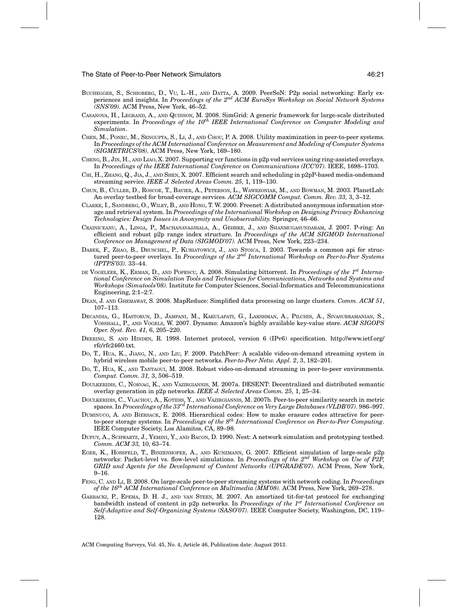- BUCHEGGER, S., SCHIOBERG, D., VU, L.-H., AND DATTA, A. 2009. PeerSoN: P2p social networking: Early experiences and insights. In *Proceedings of the 2nd ACM EuroSys Workshop on Social Network Systems (SNS'09).* ACM Press, New York, 46–52.
- CASANOVA, H., LEGRAND, A., AND QUINSON, M. 2008. SimGrid: A generic framework for large-scale distributed experiments. In *Proceedings of the 10th IEEE International Conference on Computer Modeling and Simulation*.
- CHEN, M., PONEC, M., SENGUPTA, S., LI, J., AND CHOU, P. A. 2008. Utility maximization in peer-to-peer systems. In *Proceedings of the ACM International Conference on Measurement and Modeling of Computer Systems (SIGMETRICS'08).* ACM Press, New York, 169–180.
- CHENG, B., JIN, H., AND LIAO, X. 2007. Supporting vcr functions in p2p vod services using ring-assisted overlays. In *Proceedings of the IEEE International Conference on Communications (ICC'07).* IEEE, 1698–1703.
- CHI, H., ZHANG, Q., JIA, J., AND SHEN, X. 2007. Efficient search and scheduling in p2pP-based media-ondemand streaming service. *IEEE J. Selected Areas Comm. 25,* 1, 119–130.
- CHUN, B., CULLER, D., ROSCOE, T., BAVIER, A., PETERSON, L., WAWRZONIAK, M., AND BOWMAN, M. 2003. PlanetLab: An overlay testbed for broad-coverage services. *ACM SIGCOMM Comput. Comm. Rev. 33,* 3, 3–12.
- CLARKE, I., SANDBERG, O., WILEY, B., AND HONG, T. W. 2000. Freenet: A distributed anonymous information storage and retrieval system. In *Proceedings of the International Workshop on Designing Privacy Enhancing Technologies: Design Issues in Anonymity and Unobservability.* Springer, 46–66.
- CRAINICEANU, A., LINGA, P., MACHANAVAJJHALA, A., GEHRKE, J., AND SHANMUGASUNDARAM, J. 2007. P-ring: An efficient and robust p2p range index structure. In *Proceedings of the ACM SIGMOD International Conference on Management of Data (SIGMOD'07).* ACM Press, New York, 223–234.
- DABEK, F., ZHAO, B., DRUSCHEL, P., KUBIATOWICZ, J., AND STOICA, I. 2003. Towards a common api for structured peer-to-peer overlays. In *Proceedings of the 2nd International Workshop on Peer-to-Peer Systems (IPTPS'03).* 33–44.
- DE VOGELEER, K., ERMAN, D., AND POPESCU, A. 2008. Simulating bittorrent. In *Proceedings of the 1st International Conference on Simulation Tools and Techniques for Communications, Networks and Systems and Workshops (Simutools'08).* Institute for Computer Sciences, Social-Informatics and Telecommunications Engineering, 2:1–2:7.
- DEAN, J. AND GHEMAWAT, S. 2008. MapReduce: Simplified data processing on large clusters. *Comm. ACM 51*, 107–113.
- DECANDIA, G., HASTORUN, D., JAMPANI, M., KAKULAPATI, G., LAKSHMAN, A., PILCHIN, A., SIVASUBRAMANIAN, S., VOSSHALL, P., AND VOGELS, W. 2007. Dynamo: Amazon's highly available key-value store. *ACM SIGOPS Oper. Syst. Rev. 41,* 6, 205–220.
- DEERING, S. AND HINDEN, R. 1998. Internet protocol, version 6 (IPv6) specification. http://www.ietf.org/ rfc/rfc2460.txt.
- DO, T., HUA, K., JIANG, N., AND LIU, F. 2009. PatchPeer: A scalable video-on-demand streaming system in hybrid wireless mobile peer-to-peer networks. *Peer-to-Peer Netw. Appl. 2*, 3, 182–201.
- DO, T., HUA, K., AND TANTAOUI, M. 2008. Robust video-on-demand streaming in peer-to-peer environments. *Comput. Comm. 31,* 3, 506–519.
- DOULKERIDIS, C., NORVAG, K., AND VAZIRGIANNIS, M. 2007a. DESENT: Decentralized and distributed semantic overlay generation in p2p networks. *IEEE J. Selected Areas Comm. 25,* 1, 25–34.
- DOULKERIDIS, C., VLACHOU, A., KOTIDIS, Y., AND VAZIRGIANNIS, M. 2007b. Peer-to-peer similarity search in metric spaces. In *Proceedings of the 33rd International Conference on Very Large Databases (VLDB'07).* 986–997.
- DUMINUCO, A. AND BIERSACK, E. 2008. Hierarchical codes: How to make erasure codes attractive for peerto-peer storage systems. In *Proceedings of the 8th International Conference on Peer-to-Peer Computing*. IEEE Computer Society, Los Alamitos, CA, 89–98.
- DUPUY, A., SCHWARTZ, J., YEMINI, Y., AND BACON, D. 1990. Nest: A network simulation and prototyping testbed. *Comm. ACM 33,* 10, 63–74.
- EGER, K., HOSSFELD, T., BINZENHOFER, A., AND KUNZMANN, G. 2007. Efficient simulation of large-scale p2p networks: Packet-level vs. flow-level simulations. In *Proceedings of the 2nd Workshop on Use of P2P, GRID and Agents for the Development of Content Networks (UPGRADE'07).* ACM Press, New York, 9–16.
- FENG, C. AND LI, B. 2008. On large-scale peer-to-peer streaming systems with network coding. In *Proceedings of the 16th ACM International Conference on Multimedia (MM'08).* ACM Press, New York, 269–278.
- GARBACKI, P., EPEMA, D. H. J., AND VAN STEEN, M. 2007. An amortized tit-for-tat protocol for exchanging bandwidth instead of content in p2p networks. In *Proceedings of the 1st International Conference on Self-Adaptive and Self-Organizing Systems (SASO'07).* IEEE Computer Society, Washington, DC, 119– 128.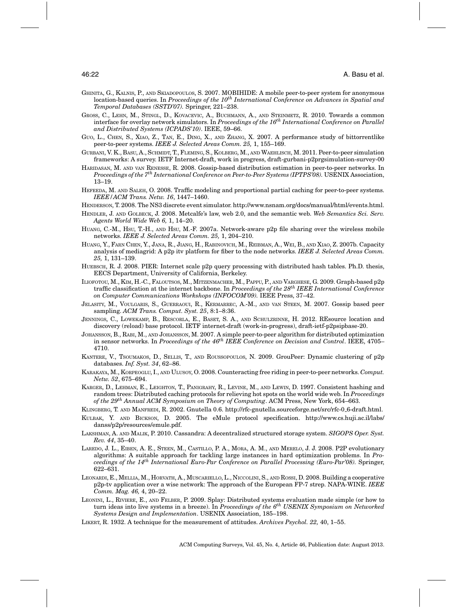- GHINITA, G., KALNIS, P., AND SKIADOPOULOS, S. 2007. MOBIHIDE: A mobile peer-to-peer system for anonymous location-based queries. In *Proceedings of the 10th International Conference on Advances in Spatial and Temporal Databases (SSTD'07).* Springer, 221–238.
- GROSS, C., LEHN, M., STINGL, D., KOVACEVIC, A., BUCHMANN, A., AND STEINMETZ, R. 2010. Towards a common interface for overlay network simulators. In *Proceedings of the 16th International Conference on Parallel and Distributed Systems (ICPADS'10)*. IEEE, 59–66.
- GUO, L., CHEN, S., XIAO, Z., TAN, E., DING, X., AND ZHANG, X. 2007. A performance study of bittorrentlike peer-to-peer systems. *IEEE J. Selected Areas Comm. 25,* 1, 155–169.
- GURBANI, V. K., BASU, A., SCHMIDT, T., FLEMING, S., KOLBERG, M., AND WAEHLISCH, M. 2011. Peer-to-peer simulation frameworks: A survey. IETF Internet-draft, work in progress, draft-gurbani-p2prgsimulation-survey-00
- HARIDASAN, M. AND VAN RENESSE, R. 2008. Gossip-based distribution estimation in peer-to-peer networks. In *Proceedings of the 7th International Conference on Peer-to-Peer Systems (IPTPS'08).* USENIX Association, 13–19.
- HEFEEDA, M. AND SALEH, O. 2008. Traffic modeling and proportional partial caching for peer-to-peer systems. *IEEE/ACM Trans. Netw. 16*, 1447–1460.
- HENDERSON, T. 2008. The NS3 discrete event simulator. http://www.nsnam.org/docs/manual/html/events.html.
- HENDLER, J. AND GOLBECK, J. 2008. Metcalfe's law, web 2.0, and the semantic web. *Web Semantics Sci. Serv. Agents World Wide Web 6,* 1, 14–20.
- HUANG, C.-M., HSU, T.-H., AND HSU, M.-F. 2007a. Network-aware p2p file sharing over the wireless mobile networks. *IEEE J. Selected Areas Comm. 25,* 1, 204–210.
- HUANG, Y., FARN CHEN, Y., JANA, R., JIANG, H., RABINOVICH, M., REIBMAN, A., WEI, B., AND XIAO, Z. 2007b. Capacity analysis of mediagrid: A p2p itv platform for fiber to the node networks. *IEEE J. Selected Areas Comm. 25,* 1, 131–139.
- HUEBSCH, R. J. 2008. PIER: Internet scale p2p query processing with distributed hash tables. Ph.D. thesis, EECS Department, University of California, Berkeley.
- ILIOFOTOU, M., KIM, H.-C., FALOUTSOS, M., MITZENMACHER, M., PAPPU, P., AND VARGHESE, G. 2009. Graph-based p2p traffic classification at the internet backbone. In *Proceedings of the 28th IEEE International Conference on Computer Communications Workshops (INFOCOM'09).* IEEE Press, 37–42.
- JELASITY, M., VOULGARIS, S., GUERRAOUI, R., KERMARREC, A.-M., AND VAN STEEN, M. 2007. Gossip based peer sampling. *ACM Trans. Comput. Syst. 25*, 8:1–8:36.
- JENNINGS, C., LOWEKAMP, B., RESCORLA, E., BASET, S. A., AND SCHULZRINNE, H. 2012. REsource location and discovery (reload) base protocol. IETF internet-draft (work-in-progress), draft-ietf-p2psipbase-20.
- JOHANSSON, B., RABI, M., AND JOHANSSON, M. 2007. A simple peer-to-peer algorithm for distributed optimization in sensor networks. In *Proceedings of the 46th IEEE Conference on Decision and Control*. IEEE, 4705– 4710.
- KANTERE, V., TSOUMAKOS, D., SELLIS, T., AND ROUSSOPOULOS, N. 2009. GrouPeer: Dynamic clustering of p2p databases. *Inf. Syst. 34*, 62–86.
- KARAKAYA, M., KORPEOGLU, I., AND ULUSOY, O. 2008. Counteracting free riding in peer-to-peer networks. *Comput. Netw. 52*, 675–694.
- KARGER, D., LEHMAN, E., LEIGHTON, T., PANIGRAHY, R., LEVINE, M., AND LEWIN, D. 1997. Consistent hashing and random trees: Distributed caching protocols for relieving hot spots on the world wide web. In *Proceedings of the 29th Annual ACM Symposium on Theory of Computing*. ACM Press, New York, 654–663.
- KLINGBERG, T. AND MANFREDI, R. 2002. Gnutella 0.6. http://rfc-gnutella.sourceforge.net/src/rfc-0 6-draft.html.
- KULBAK, Y. AND BICKSON, D. 2005. The eMule protocol specification. http://www.cs.huji.ac.il/labs/ danss/p2p/resources/emule.pdf.
- LAKSHMAN, A. AND MALIK, P. 2010. Cassandra: A decentralized structured storage system. *SIGOPS Oper. Syst. Rev. 44*, 35–40.
- LAREDO, J. L., EIBEN, A. E., STEEN, M., CASTILLO, P. A., MORA, A. M., AND MERELO, J. J. 2008. P2P evolutionary algorithms: A suitable approach for tackling large instances in hard optimization problems. In *Proceedings of the 14th International Euro-Par Conference on Parallel Processing (Euro-Par'08).* Springer, 622–631.
- LEONARDI, E., MELLIA, M., HORVATH, A., MUSCARIELLO, L., NICCOLINI, S., AND ROSSI, D. 2008. Building a cooperative p2p-tv application over a wise network: The approach of the European FP-7 strep. NAPA-WINE. *IEEE Comm. Mag. 46,* 4, 20–22.
- LEONINI, L., RIVIERE, E., AND FELBER, P. 2009. Splay: Distributed systems evaluation made simple (or how to turn ideas into live systems in a breeze). In *Proceedings of the 6th USENIX Symposium on Networked Systems Design and Implementation*. USENIX Association, 185–198.
- LIKERT, R. 1932. A technique for the measurement of attitudes. *Archives Psychol. 22,* 40, 1–55.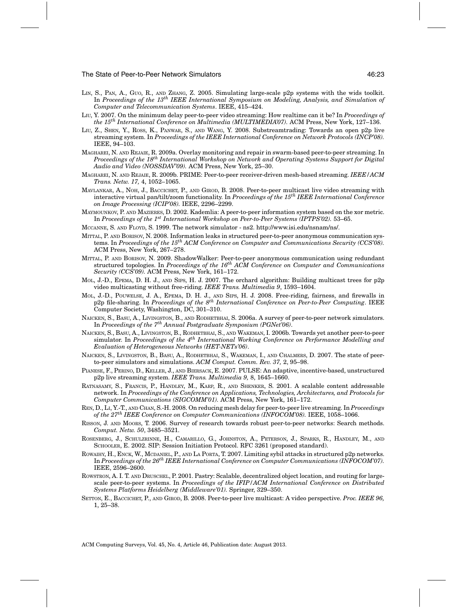- LIN, S., PAN, A., GUO, R., AND ZHANG, Z. 2005. Simulating large-scale p2p systems with the wids toolkit. In *Proceedings of the 13th IEEE International Symposium on Modeling, Analysis, and Simulation of Computer and Telecommunication Systems*. IEEE, 415–424.
- LIU, Y. 2007. On the minimum delay peer-to-peer video streaming: How realtime can it be? In *Proceedings of the 15th International Conference on Multimedia (MULTIMEDIA'07).* ACM Press, New York, 127–136.
- LIU, Z., SHEN, Y., ROSS, K., PANWAR, S., AND WANG, Y. 2008. Substreamtrading: Towards an open p2p live streaming system. In *Proceedings of the IEEE International Conference on Network Protocols (INCP'08).* IEEE, 94–103.
- MAGHAREI, N. AND REJAIE, R. 2009a. Overlay monitoring and repair in swarm-based peer-to-peer streaming. In *Proceedings of the 18th International Workshop on Network and Operating Systems Support for Digital Audio and Video (NOSSDAV'09).* ACM Press, New York, 25–30.
- MAGHAREI, N. AND REJAIE, R. 2009b. PRIME: Peer-to-peer receiver-driven mesh-based streaming. *IEEE/ACM Trans. Netw. 17,* 4, 1052–1065.
- MAVLANKAR, A., NOH, J., BACCICHET, P., AND GIROD, B. 2008. Peer-to-peer multicast live video streaming with interactive virtual pan/tilt/zoom functionality. In *Proceedings of the 15th IEEE International Conference on Image Processing (ICIP'08).* IEEE, 2296–2299.
- MAYMOUNKOV, P. AND MAZIERES, D. 2002. Kademlia: A peer-to-peer information system based on the xor metric. In *Proceedings of the 1st International Workshop on Peer-to-Peer Systems (IPTPS'02).* 53–65.
- MCCANNE, S. AND FLOYD, S. 1999. The network simulator ns2. http://www.isi.edu/nsnam/ns/.
- MITTAL, P. AND BORISOV, N. 2008. Information leaks in structured peer-to-peer anonymous communication systems. In *Proceedings of the 15th ACM Conference on Computer and Communications Security (CCS'08).* ACM Press, New York, 267–278.
- MITTAL, P. AND BORISOV, N. 2009. ShadowWalker: Peer-to-peer anonymous communication using redundant structured topologies. In *Proceedings of the 16th ACM Conference on Computer and Communications Security (CCS'09).* ACM Press, New York, 161–172.
- MOL, J.-D., EPEMA, D. H. J., AND SIPS, H. J. 2007. The orchard algorithm: Building multicast trees for p2p video multicasting without free-riding. *IEEE Trans. Multimedia 9*, 1593–1604.
- MOL, J.-D., POUWELSE, J. A., EPEMA, D. H. J., AND SIPS, H. J. 2008. Free-riding, fairness, and firewalls in p2p file-sharing. In *Proceedings of the 8th International Conference on Peer-to-Peer Computing*. IEEE Computer Society, Washington, DC, 301–310.
- NAICKEN, S., BASU, A., LIVINGSTON, B., AND RODHETBHAI, S. 2006a. A survey of peer-to-peer network simulators. In *Proceedings of the 7th Annual Postgraduate Symposium (PGNet'06)*.
- NAICKEN, S., BASU, A., LIVINGSTON, B., RODHETBHAI, S., AND WAKEMAN, I. 2006b. Towards yet another peer-to-peer simulator. In *Proceedings of the 4th International Working Conference on Performance Modelling and Evaluation of Heterogeneous Networks (HET-NETs'06)*.
- NAICKEN, S., LIVINGSTON, B., BASU, A., RODHETBHAI, S., WAKEMAN, I., AND CHALMERS, D. 2007. The state of peerto-peer simulators and simulations. *ACM Comput. Comm. Rev. 37,* 2, 95–98.
- PIANESE, F., PERINO, D., KELLER, J., AND BIERSACK, E. 2007. PULSE: An adaptive, incentive-based, unstructured p2p live streaming system. *IEEE Trans. Multimedia 9,* 8, 1645–1660.
- RATNASAMY, S., FRANCIS, P., HANDLEY, M., KARP, R., AND SHENKER, S. 2001. A scalable content addressable network. In *Proceedings of the Conference on Applications, Technologies, Architectures, and Protocols for Computer Communications (SIGCOMM'01).* ACM Press, New York, 161–172.
- REN, D., LI, Y.-T., AND CHAN, S.-H. 2008. On reducing mesh delay for peer-to-peer live streaming. In *Proceedings of the 27th IEEE Conference on Computer Communications (INFOCOM'08).* IEEE, 1058–1066.
- RISSON, J. AND MOORS, T. 2006. Survey of research towards robust peer-to-peer networks: Search methods. *Comput. Netw. 50*, 3485–3521.
- ROSENBERG, J., SCHULZRINNE, H., CAMARILLO, G., JOHNSTON, A., PETERSON, J., SPARKS, R., HANDLEY, M., AND SCHOOLER, E. 2002. SIP: Session Initiation Protocol. RFC 3261 (proposed standard).
- ROWAIHY, H., ENCK, W., MCDANIEL, P., AND LA PORTA, T. 2007. Limiting sybil attacks in structured p2p networks. In *Proceedings of the 26th IEEE International Conference on Computer Communications (INFOCOM'07).* IEEE, 2596–2600.
- ROWSTRON, A. I. T. AND DRUSCHEL, P. 2001. Pastry: Scalable, decentralized object location, and routing for largescale peer-to-peer systems. In *Proceedings of the IFIP/ACM International Conference on Distributed Systems Platforms Heidelberg (Middleware'01).* Springer, 329–350.
- SETTON, E., BACCICHET, P., AND GIROD, B. 2008. Peer-to-peer live multicast: A video perspective. *Proc. IEEE 96,* 1, 25–38.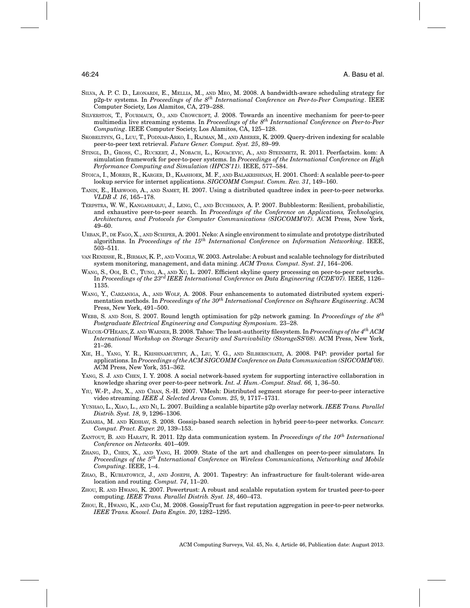- SILVA, A. P. C. D., LEONARDI, E., MELLIA, M., AND MEO, M. 2008. A bandwidth-aware scheduling strategy for p2p-tv systems. In *Proceedings of the 8th International Conference on Peer-to-Peer Computing*. IEEE Computer Society, Los Alamitos, CA, 279–288.
- SILVERSTON, T., FOURMAUX, O., AND CROWCROFT, J. 2008. Towards an incentive mechanism for peer-to-peer multimedia live streaming systems. In *Proceedings of the 8th International Conference on Peer-to-Peer Computing*. IEEE Computer Society, Los Alamitos, CA, 125–128.
- SKOBELTSYN, G., LUU, T., PODNAR-ARKO, I., RAJMAN, M., AND ABERER, K. 2009. Query-driven indexing for scalable peer-to-peer text retrieval. *Future Gener. Comput. Syst. 25*, 89–99.
- STINGL, D., GROSS, C., RUCKERT, J., NOBACH, L., KOVACEVIC, A., AND STEINMETZ, R. 2011. Peerfactsim. kom: A simulation framework for peer-to-peer systems. In *Proceedings of the International Conference on High Performance Computing and Simulation (HPCS'11).* IEEE, 577–584.
- STOICA, I., MORRIS, R., KARGER, D., KAASHOEK, M. F., AND BALAKRISHNAN, H. 2001. Chord: A scalable peer-to-peer lookup service for internet applications. *SIGCOMM Comput. Comm. Rev. 31*, 149–160.
- TANIN, E., HARWOOD, A., AND SAMET, H. 2007. Using a distributed quadtree index in peer-to-peer networks. *VLDB J. 16*, 165–178.
- TERPSTRA, W. W., KANGASHARJU, J., LENG, C., AND BUCHMANN, A. P. 2007. Bubblestorm: Resilient, probabilistic, and exhaustive peer-to-peer search. In *Proceedings of the Conference on Applications, Technologies, Architectures, and Protocols for Computer Communications (SIGCOMM'07).* ACM Press, New York, 49–60.
- URBAN, P., DE FAGO, X., AND SCHIPER, A. 2001. Neko: A single environment to simulate and prototype distributed algorithms. In *Proceedings of the 15th International Conference on Information Networking*. IEEE, 503–511.
- VAN RENESSE, R., BIRMAN, K. P., AND VOGELS, W. 2003. Astrolabe: A robust and scalable technology for distributed system monitoring, management, and data mining. *ACM Trans. Comput. Syst. 21*, 164–206.
- WANG, S., OOI, B. C., TUNG, A., AND XU, L. 2007. Efficient skyline query processing on peer-to-peer networks. In *Proceedings of the 23rd IEEE International Conference on Data Engineering (ICDE'07).* IEEE, 1126– 1135.
- WANG, Y., CARZANIGA, A., AND WOLF, A. 2008. Four enhancements to automated distributed system experimentation methods. In *Proceedings of the 30th International Conference on Software Engineering*. ACM Press, New York, 491–500.
- WEBB, S. AND SOH, S. 2007. Round length optimisation for p2p network gaming. In *Proceedings of the 8th Postgraduate Electrical Engineering and Computing Symposium.* 23–28.
- WILCOX-O'HEARN, Z. AND WARNER, B. 2008. Tahoe: The least-authority filesystem. In *Proceedings of the 4th ACM International Workshop on Storage Security and Survivability (StorageSS'08).* ACM Press, New York, 21–26.
- XIE, H., YANG, Y. R., KRISHNAMURTHY, A., LIU, Y. G., AND SILBERSCHATZ, A. 2008. P4P: provider portal for applications. In *Proceedings of the ACM SIGCOMM Conference on Data Communication (SIGCOMM'08).* ACM Press, New York, 351–362.
- YANG, S. J. AND CHEN, I. Y. 2008. A social network-based system for supporting interactive collaboration in knowledge sharing over peer-to-peer network. *Int. J. Hum.-Comput. Stud. 66,* 1, 36–50.
- YIU, W.-P., JIN, X., AND CHAN, S.-H. 2007. VMesh: Distributed segment storage for peer-to-peer interactive video streaming. *IEEE J. Selected Areas Comm. 25,* 9, 1717–1731.
- YUNHAO, L., XIAO, L., AND NI, L. 2007. Building a scalable bipartite p2p overlay network. *IEEE Trans. Parallel Distrib. Syst. 18,* 9, 1296–1306.
- ZAHARIA, M. AND KESHAV, S. 2008. Gossip-based search selection in hybrid peer-to-peer networks. *Concurr. Comput. Pract. Exper. 20*, 139–153.
- ZANTOUT, B. AND HARATY, R. 2011. I2p data communication system. In *Proceedings of the 10th International Conference on Networks.* 401–409.
- ZHANG, D., CHEN, X., AND YANG, H. 2009. State of the art and challenges on peer-to-peer simulators. In *Proceedings of the 5th International Conference on Wireless Communications, Networking and Mobile Computing*. IEEE, 1–4.
- ZHAO, B., KUBIATOWICZ, J., AND JOSEPH, A. 2001. Tapestry: An infrastructure for fault-tolerant wide-area location and routing. *Comput. 74*, 11–20.
- ZHOU, R. AND HWANG, K. 2007. Powertrust: A robust and scalable reputation system for trusted peer-to-peer computing. *IEEE Trans. Parallel Distrib. Syst. 18*, 460–473.
- ZHOU, R., HWANG, K., AND CAI, M. 2008. GossipTrust for fast reputation aggregation in peer-to-peer networks. *IEEE Trans. Knowl. Data Engin. 20*, 1282–1295.